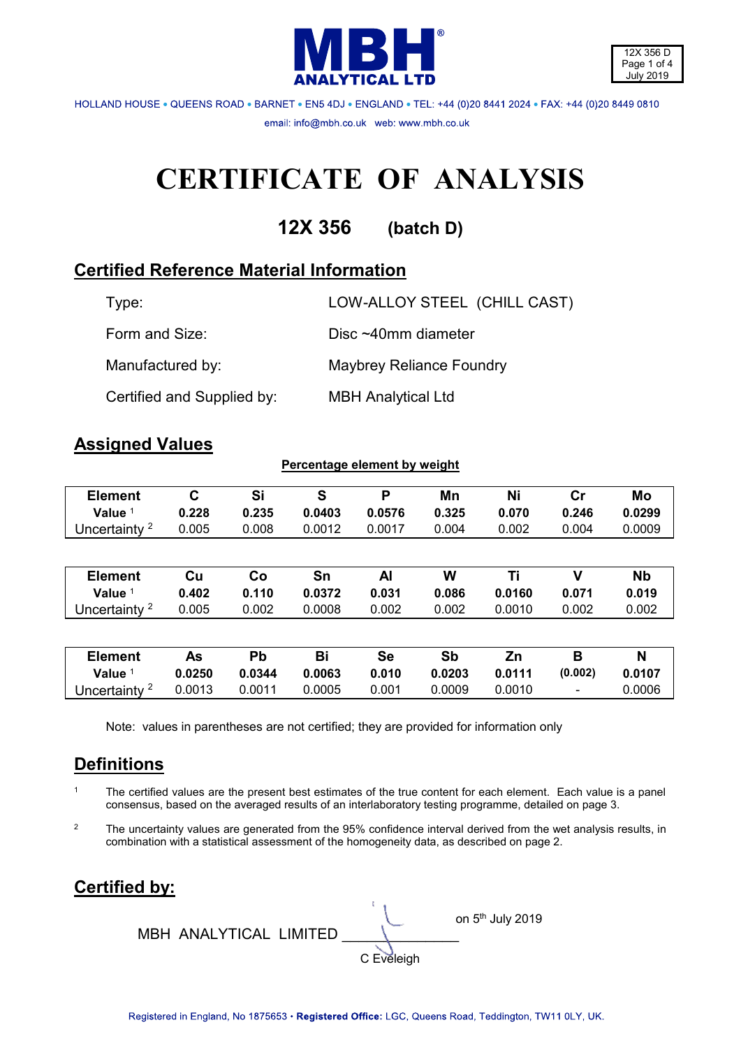



HOLLAND HOUSE . QUEENS ROAD . BARNET . EN5 4DJ . ENGLAND . TEL: +44 (0)20 8441 2024 . FAX: +44 (0)20 8449 0810 email: info@mbh.co.uk web: www.mbh.co.uk

# **CERTIFICATE OF ANALYSIS**

**12X 356 (batch D)**

# **Certified Reference Material Information**

| Type:                      | LOW-ALLOY STEEL (CHILL CAST) |
|----------------------------|------------------------------|
| Form and Size:             | Disc $~10$ mm diameter       |
| Manufactured by:           | Maybrey Reliance Foundry     |
| Certified and Supplied by: | <b>MBH Analytical Ltd</b>    |

## **Assigned Values**

| <b>Element</b>           | $\mathbf C$ | Si     | S      | P         | Mn     | Ni     | cr      | Mo        |
|--------------------------|-------------|--------|--------|-----------|--------|--------|---------|-----------|
| Value $1$                | 0.228       | 0.235  | 0.0403 | 0.0576    | 0.325  | 0.070  | 0.246   | 0.0299    |
| Uncertainty <sup>2</sup> | 0.005       | 0.008  | 0.0012 | 0.0017    | 0.004  | 0.002  | 0.004   | 0.0009    |
|                          |             |        |        |           |        |        |         |           |
| <b>Element</b>           | Cu          | Co     | Sn     | Al        | W      | Τi     | v       | <b>Nb</b> |
|                          |             |        |        |           |        |        |         |           |
| Value $1$                | 0.402       | 0.110  | 0.0372 | 0.031     | 0.086  | 0.0160 | 0.071   | 0.019     |
| Uncertainty <sup>2</sup> | 0.005       | 0.002  | 0.0008 | 0.002     | 0.002  | 0.0010 | 0.002   | 0.002     |
|                          |             |        |        |           |        |        |         |           |
| <b>Element</b>           | As          | Pb     | Bi     | <b>Se</b> | Sb     | Zn     | B       | N         |
| Value <sup>1</sup>       | 0.0250      | 0.0344 | 0.0063 | 0.010     | 0.0203 | 0.0111 | (0.002) | 0.0107    |
| Uncertainty <sup>2</sup> | 0.0013      | 0.0011 | 0.0005 | 0.001     | 0.0009 | 0.0010 |         | 0.0006    |

**Percentage element by weight** 

Note: values in parentheses are not certified; they are provided for information only

# **Definitions**

- 1 The certified values are the present best estimates of the true content for each element. Each value is a panel consensus, based on the averaged results of an interlaboratory testing programme, detailed on page 3.
- <sup>2</sup> The uncertainty values are generated from the 95% confidence interval derived from the wet analysis results, in combination with a statistical assessment of the homogeneity data, as described on page 2.

# **Certified by:**

on 5 and 5 and 5 and 5 and 5 and 5 and 5 and 5 and 5 and 5 and 5 and 5 and 5 and 5 and 5 and 5 and 5 on 5<sup>th</sup> July 2019 MBH ANALYTICAL LIMITED \_\_\_\_\_\_\_\_\_\_\_\_\_\_ C Eveleigh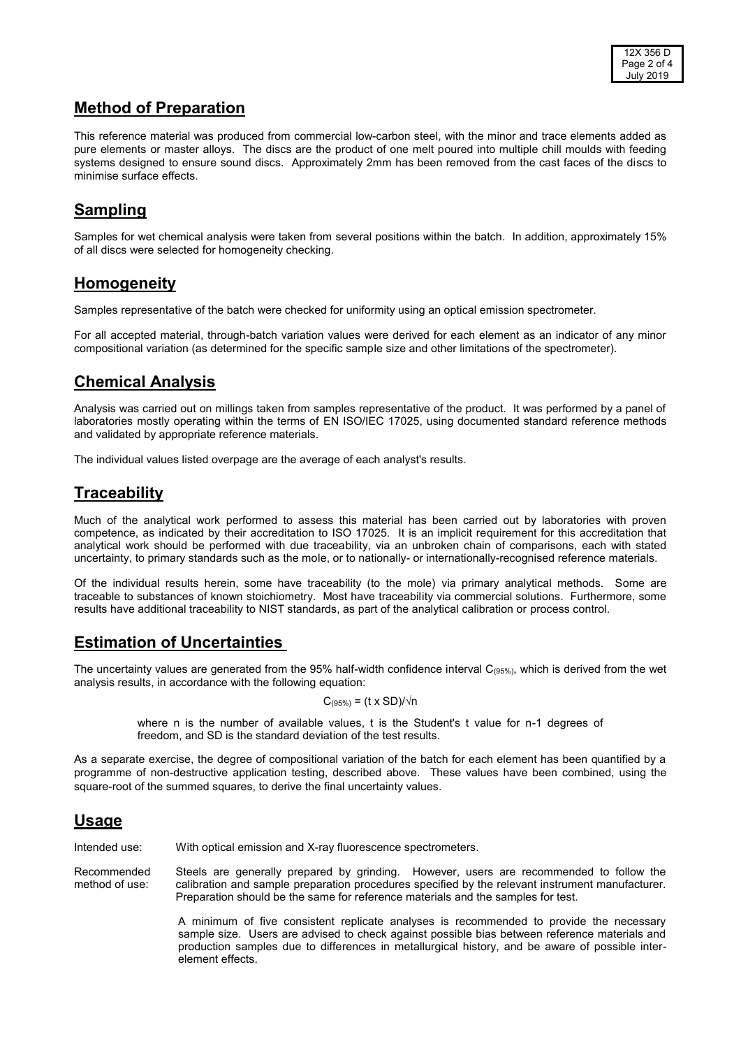# **Method of Preparation**

This reference material was produced from commercial low-carbon steel, with the minor and trace elements added as pure elements or master alloys. The discs are the product of one melt poured into multiple chill moulds with feeding systems designed to ensure sound discs. Approximately 2mm has been removed from the cast faces of the discs to minimise surface effects.

# **Sampling**

Samples for wet chemical analysis were taken from several positions within the batch. In addition, approximately 15% of all discs were selected for homogeneity checking.

#### **Homogeneity**

Samples representative of the batch were checked for uniformity using an optical emission spectrometer.

For all accepted material, through-batch variation values were derived for each element as an indicator of any minor compositional variation (as determined for the specific sample size and other limitations of the spectrometer).

# **Chemical Analysis**

Analysis was carried out on millings taken from samples representative of the product. It was performed by a panel of laboratories mostly operating within the terms of EN ISO/IEC 17025, using documented standard reference methods and validated by appropriate reference materials.

The individual values listed overpage are the average of each analyst's results.

#### **Traceability**

Much of the analytical work performed to assess this material has been carried out by laboratories with proven competence, as indicated by their accreditation to ISO 17025. It is an implicit requirement for this accreditation that analytical work should be performed with due traceability, via an unbroken chain of comparisons, each with stated uncertainty, to primary standards such as the mole, or to nationally- or internationally-recognised reference materials.

Of the individual results herein, some have traceability (to the mole) via primary analytical methods. Some are traceable to substances of known stoichiometry. Most have traceability via commercial solutions. Furthermore, some results have additional traceability to NIST standards, as part of the analytical calibration or process control.

# **Estimation of Uncertainties**

The uncertainty values are generated from the 95% half-width confidence interval  $C_{(95\%)}$ , which is derived from the wet analysis results, in accordance with the following equation:

$$
C_{(95\%)} = (t \times SD)/\sqrt{n}
$$

where n is the number of available values, t is the Student's t value for n-1 degrees of freedom, and SD is the standard deviation of the test results.

As a separate exercise, the degree of compositional variation of the batch for each element has been quantified by a programme of non-destructive application testing, described above. These values have been combined, using the square-root of the summed squares, to derive the final uncertainty values.

#### **Usage**

Intended use: With optical emission and X-ray fluorescence spectrometers.

Recommended Steels are generally prepared by grinding. However, users are recommended to follow the method of use: calibration and sample preparation procedures specified by the relevant instrument manufacturer. Preparation should be the same for reference materials and the samples for test.

> A minimum of five consistent replicate analyses is recommended to provide the necessary sample size. Users are advised to check against possible bias between reference materials and production samples due to differences in metallurgical history, and be aware of possible interelement effects.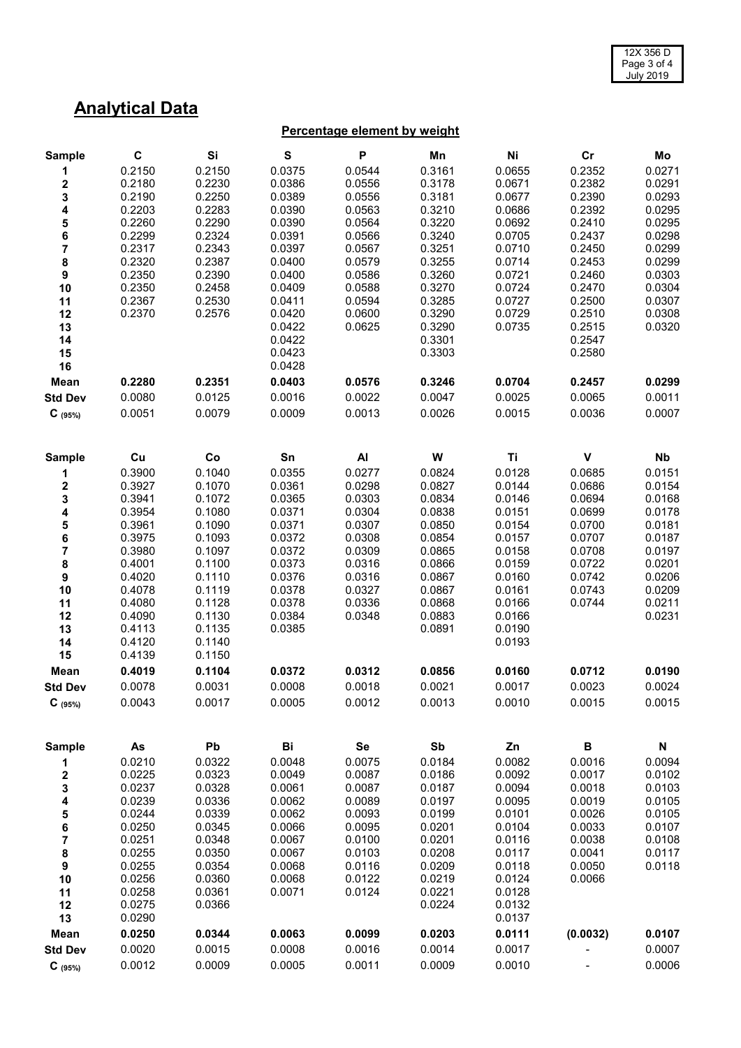# **Analytical Data**

#### **Percentage element by weight**

| <b>Sample</b>                         | C      | Si     | S      | P      | Mn     | Ni     | cr       | Mo                        |
|---------------------------------------|--------|--------|--------|--------|--------|--------|----------|---------------------------|
| 1                                     | 0.2150 | 0.2150 | 0.0375 | 0.0544 | 0.3161 | 0.0655 | 0.2352   | 0.0271                    |
| 2                                     | 0.2180 | 0.2230 | 0.0386 | 0.0556 | 0.3178 | 0.0671 | 0.2382   | 0.0291                    |
| $\frac{3}{4}$                         | 0.2190 | 0.2250 | 0.0389 | 0.0556 | 0.3181 | 0.0677 | 0.2390   | 0.0293                    |
|                                       | 0.2203 | 0.2283 | 0.0390 | 0.0563 | 0.3210 | 0.0686 | 0.2392   | 0.0295                    |
| $\frac{5}{6}$                         | 0.2260 | 0.2290 | 0.0390 | 0.0564 | 0.3220 | 0.0692 | 0.2410   | 0.0295                    |
|                                       | 0.2299 | 0.2324 | 0.0391 | 0.0566 | 0.3240 | 0.0705 | 0.2437   | 0.0298                    |
| $\begin{array}{c} 7 \\ 8 \end{array}$ | 0.2317 | 0.2343 | 0.0397 | 0.0567 | 0.3251 | 0.0710 | 0.2450   | 0.0299                    |
|                                       | 0.2320 | 0.2387 | 0.0400 | 0.0579 | 0.3255 | 0.0714 | 0.2453   | 0.0299                    |
| $\boldsymbol{9}$                      | 0.2350 | 0.2390 | 0.0400 | 0.0586 | 0.3260 | 0.0721 | 0.2460   | 0.0303                    |
| 10                                    | 0.2350 | 0.2458 | 0.0409 | 0.0588 | 0.3270 | 0.0724 | 0.2470   | 0.0304                    |
| 11                                    | 0.2367 | 0.2530 | 0.0411 | 0.0594 | 0.3285 | 0.0727 | 0.2500   | 0.0307                    |
| 12                                    | 0.2370 | 0.2576 | 0.0420 | 0.0600 | 0.3290 | 0.0729 | 0.2510   | 0.0308                    |
| 13                                    |        |        | 0.0422 | 0.0625 | 0.3290 | 0.0735 | 0.2515   | 0.0320                    |
| 14                                    |        |        | 0.0422 |        | 0.3301 |        | 0.2547   |                           |
| 15                                    |        |        | 0.0423 |        | 0.3303 |        | 0.2580   |                           |
| 16                                    |        |        | 0.0428 |        |        |        |          |                           |
| Mean                                  | 0.2280 | 0.2351 | 0.0403 | 0.0576 | 0.3246 | 0.0704 | 0.2457   | 0.0299                    |
| <b>Std Dev</b>                        | 0.0080 | 0.0125 | 0.0016 | 0.0022 | 0.0047 | 0.0025 | 0.0065   | 0.0011                    |
| $C_{(95\%)}$                          | 0.0051 | 0.0079 | 0.0009 | 0.0013 | 0.0026 | 0.0015 | 0.0036   | 0.0007                    |
| <b>Sample</b>                         | Cu     | Co     | Sn     | AI     | W      | Ti     | V        | Nb                        |
| 1                                     | 0.3900 | 0.1040 | 0.0355 | 0.0277 | 0.0824 | 0.0128 | 0.0685   | 0.0151                    |
| 2                                     | 0.3927 | 0.1070 | 0.0361 | 0.0298 | 0.0827 | 0.0144 | 0.0686   | 0.0154                    |
| 3                                     | 0.3941 | 0.1072 | 0.0365 | 0.0303 | 0.0834 | 0.0146 | 0.0694   | 0.0168                    |
| 4                                     | 0.3954 | 0.1080 | 0.0371 | 0.0304 | 0.0838 | 0.0151 | 0.0699   | 0.0178                    |
|                                       | 0.3961 | 0.1090 | 0.0371 | 0.0307 | 0.0850 | 0.0154 | 0.0700   | 0.0181                    |
| $\frac{5}{6}$                         | 0.3975 | 0.1093 | 0.0372 | 0.0308 | 0.0854 | 0.0157 | 0.0707   | 0.0187                    |
| $\overline{\mathbf{7}}$               | 0.3980 | 0.1097 | 0.0372 | 0.0309 | 0.0865 | 0.0158 | 0.0708   | 0.0197                    |
| $\bf 8$                               | 0.4001 | 0.1100 | 0.0373 | 0.0316 | 0.0866 | 0.0159 | 0.0722   | 0.0201                    |
| $\boldsymbol{9}$                      | 0.4020 | 0.1110 | 0.0376 | 0.0316 | 0.0867 | 0.0160 | 0.0742   | 0.0206                    |
| 10                                    | 0.4078 | 0.1119 | 0.0378 | 0.0327 | 0.0867 | 0.0161 | 0.0743   | 0.0209                    |
| 11                                    | 0.4080 | 0.1128 | 0.0378 | 0.0336 | 0.0868 | 0.0166 | 0.0744   | 0.0211                    |
| 12                                    | 0.4090 | 0.1130 | 0.0384 | 0.0348 | 0.0883 | 0.0166 |          | 0.0231                    |
| 13                                    | 0.4113 | 0.1135 | 0.0385 |        | 0.0891 | 0.0190 |          |                           |
| 14                                    | 0.4120 | 0.1140 |        |        |        | 0.0193 |          |                           |
| 15                                    | 0.4139 | 0.1150 |        |        |        |        |          |                           |
| Mean                                  | 0.4019 | 0.1104 | 0.0372 | 0.0312 | 0.0856 | 0.0160 | 0.0712   | 0.0190                    |
| <b>Std Dev</b>                        | 0.0078 | 0.0031 | 0.0008 | 0.0018 | 0.0021 | 0.0017 | 0.0023   | 0.0024                    |
| $C_{(95%)}$                           | 0.0043 | 0.0017 | 0.0005 | 0.0012 | 0.0013 | 0.0010 | 0.0015   | 0.0015                    |
| <b>Sample</b>                         | As     | Pb     | Bi     | Se     | Sb     | Zn     | B        | $\boldsymbol{\mathsf{N}}$ |
| 1                                     | 0.0210 | 0.0322 | 0.0048 | 0.0075 | 0.0184 | 0.0082 | 0.0016   | 0.0094                    |
| $\boldsymbol{2}$                      | 0.0225 | 0.0323 | 0.0049 | 0.0087 | 0.0186 | 0.0092 | 0.0017   | 0.0102                    |
| 3                                     | 0.0237 | 0.0328 | 0.0061 | 0.0087 | 0.0187 | 0.0094 | 0.0018   | 0.0103                    |
| 4                                     | 0.0239 | 0.0336 | 0.0062 | 0.0089 | 0.0197 | 0.0095 | 0.0019   | 0.0105                    |
| ${\bf 5}$                             | 0.0244 | 0.0339 | 0.0062 | 0.0093 | 0.0199 | 0.0101 | 0.0026   | 0.0105                    |
| $\bf 6$                               | 0.0250 | 0.0345 | 0.0066 | 0.0095 | 0.0201 | 0.0104 | 0.0033   | 0.0107                    |
| $\overline{\mathbf{7}}$               | 0.0251 | 0.0348 | 0.0067 | 0.0100 | 0.0201 | 0.0116 | 0.0038   | 0.0108                    |
| $\bf8$                                | 0.0255 | 0.0350 | 0.0067 | 0.0103 | 0.0208 | 0.0117 | 0.0041   | 0.0117                    |
| 9                                     | 0.0255 | 0.0354 | 0.0068 | 0.0116 | 0.0209 | 0.0118 | 0.0050   | 0.0118                    |
| 10                                    | 0.0256 | 0.0360 | 0.0068 | 0.0122 | 0.0219 | 0.0124 | 0.0066   |                           |
| 11                                    | 0.0258 | 0.0361 | 0.0071 | 0.0124 | 0.0221 | 0.0128 |          |                           |
| 12                                    | 0.0275 | 0.0366 |        |        | 0.0224 | 0.0132 |          |                           |
| 13                                    | 0.0290 |        |        |        |        | 0.0137 |          |                           |
| Mean                                  | 0.0250 | 0.0344 | 0.0063 | 0.0099 | 0.0203 | 0.0111 | (0.0032) | 0.0107                    |
| <b>Std Dev</b>                        | 0.0020 | 0.0015 | 0.0008 | 0.0016 | 0.0014 | 0.0017 |          | 0.0007                    |
| $C_{(95\%)}$                          | 0.0012 | 0.0009 | 0.0005 | 0.0011 | 0.0009 | 0.0010 |          | 0.0006                    |